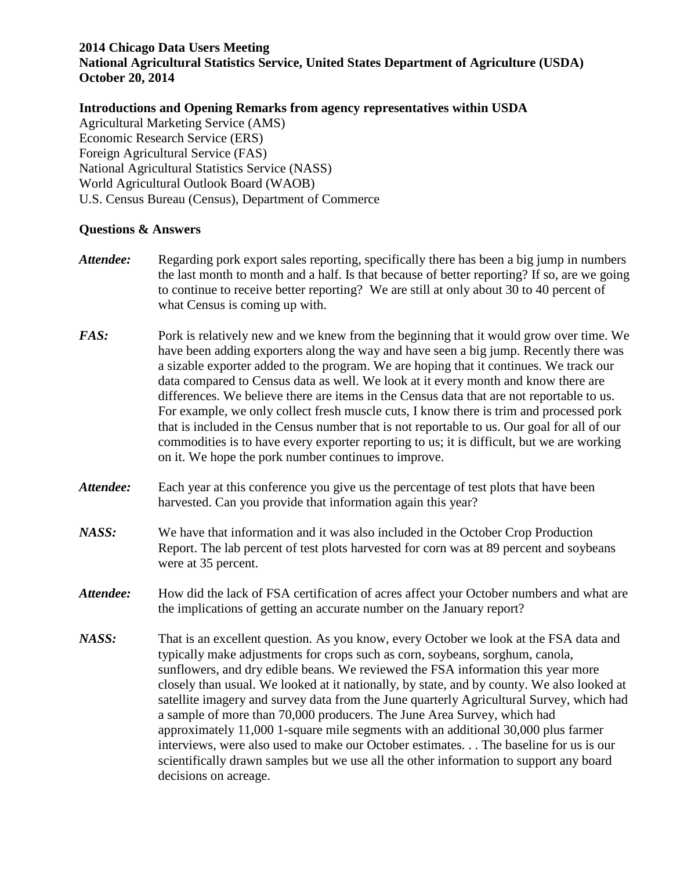## **2014 Chicago Data Users Meeting**

**National Agricultural Statistics Service, United States Department of Agriculture (USDA) October 20, 2014**

## **Introductions and Opening Remarks from agency representatives within USDA**

Agricultural Marketing Service (AMS) Economic Research Service (ERS) Foreign Agricultural Service (FAS) National Agricultural Statistics Service (NASS) World Agricultural Outlook Board (WAOB) U.S. Census Bureau (Census), Department of Commerce

## **Questions & Answers**

- *Attendee:* Regarding pork export sales reporting, specifically there has been a big jump in numbers the last month to month and a half. Is that because of better reporting? If so, are we going to continue to receive better reporting? We are still at only about 30 to 40 percent of what Census is coming up with.
- *FAS:* Pork is relatively new and we knew from the beginning that it would grow over time. We have been adding exporters along the way and have seen a big jump. Recently there was a sizable exporter added to the program. We are hoping that it continues. We track our data compared to Census data as well. We look at it every month and know there are differences. We believe there are items in the Census data that are not reportable to us. For example, we only collect fresh muscle cuts, I know there is trim and processed pork that is included in the Census number that is not reportable to us. Our goal for all of our commodities is to have every exporter reporting to us; it is difficult, but we are working on it. We hope the pork number continues to improve.
- *Attendee:* Each year at this conference you give us the percentage of test plots that have been harvested. Can you provide that information again this year?
- *NASS:* We have that information and it was also included in the October Crop Production Report. The lab percent of test plots harvested for corn was at 89 percent and soybeans were at 35 percent.
- Attendee: How did the lack of FSA certification of acres affect your October numbers and what are the implications of getting an accurate number on the January report?
- *NASS:* That is an excellent question. As you know, every October we look at the FSA data and typically make adjustments for crops such as corn, soybeans, sorghum, canola, sunflowers, and dry edible beans. We reviewed the FSA information this year more closely than usual. We looked at it nationally, by state, and by county. We also looked at satellite imagery and survey data from the June quarterly Agricultural Survey, which had a sample of more than 70,000 producers. The June Area Survey, which had approximately 11,000 1-square mile segments with an additional 30,000 plus farmer interviews, were also used to make our October estimates. . . The baseline for us is our scientifically drawn samples but we use all the other information to support any board decisions on acreage.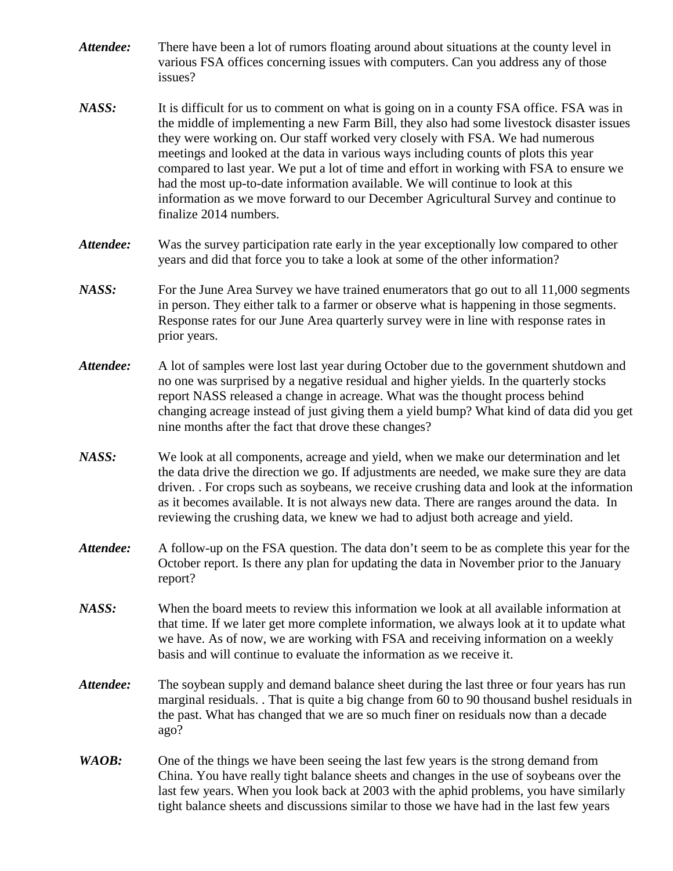| Attendee: | There have been a lot of rumors floating around about situations at the county level in<br>various FSA offices concerning issues with computers. Can you address any of those<br>issues?                                                                                                                                                                                                                                                                                                                                                                                                                                                                   |
|-----------|------------------------------------------------------------------------------------------------------------------------------------------------------------------------------------------------------------------------------------------------------------------------------------------------------------------------------------------------------------------------------------------------------------------------------------------------------------------------------------------------------------------------------------------------------------------------------------------------------------------------------------------------------------|
| NASS:     | It is difficult for us to comment on what is going on in a county FSA office. FSA was in<br>the middle of implementing a new Farm Bill, they also had some livestock disaster issues<br>they were working on. Our staff worked very closely with FSA. We had numerous<br>meetings and looked at the data in various ways including counts of plots this year<br>compared to last year. We put a lot of time and effort in working with FSA to ensure we<br>had the most up-to-date information available. We will continue to look at this<br>information as we move forward to our December Agricultural Survey and continue to<br>finalize 2014 numbers. |
| Attendee: | Was the survey participation rate early in the year exceptionally low compared to other<br>years and did that force you to take a look at some of the other information?                                                                                                                                                                                                                                                                                                                                                                                                                                                                                   |
| NASS:     | For the June Area Survey we have trained enumerators that go out to all 11,000 segments<br>in person. They either talk to a farmer or observe what is happening in those segments.<br>Response rates for our June Area quarterly survey were in line with response rates in<br>prior years.                                                                                                                                                                                                                                                                                                                                                                |
| Attendee: | A lot of samples were lost last year during October due to the government shutdown and<br>no one was surprised by a negative residual and higher yields. In the quarterly stocks<br>report NASS released a change in acreage. What was the thought process behind<br>changing acreage instead of just giving them a yield bump? What kind of data did you get<br>nine months after the fact that drove these changes?                                                                                                                                                                                                                                      |
| NASS:     | We look at all components, acreage and yield, when we make our determination and let<br>the data drive the direction we go. If adjustments are needed, we make sure they are data<br>driven. . For crops such as soybeans, we receive crushing data and look at the information<br>as it becomes available. It is not always new data. There are ranges around the data. In<br>reviewing the crushing data, we knew we had to adjust both acreage and yield.                                                                                                                                                                                               |
| Attendee: | A follow-up on the FSA question. The data don't seem to be as complete this year for the<br>October report. Is there any plan for updating the data in November prior to the January<br>report?                                                                                                                                                                                                                                                                                                                                                                                                                                                            |
| NASS:     | When the board meets to review this information we look at all available information at<br>that time. If we later get more complete information, we always look at it to update what<br>we have. As of now, we are working with FSA and receiving information on a weekly<br>basis and will continue to evaluate the information as we receive it.                                                                                                                                                                                                                                                                                                         |
| Attendee: | The soybean supply and demand balance sheet during the last three or four years has run<br>marginal residuals. That is quite a big change from 60 to 90 thousand bushel residuals in<br>the past. What has changed that we are so much finer on residuals now than a decade<br>ago?                                                                                                                                                                                                                                                                                                                                                                        |
| WAOB:     | One of the things we have been seeing the last few years is the strong demand from<br>China. You have really tight balance sheets and changes in the use of soybeans over the<br>last few years. When you look back at 2003 with the aphid problems, you have similarly<br>tight balance sheets and discussions similar to those we have had in the last few years                                                                                                                                                                                                                                                                                         |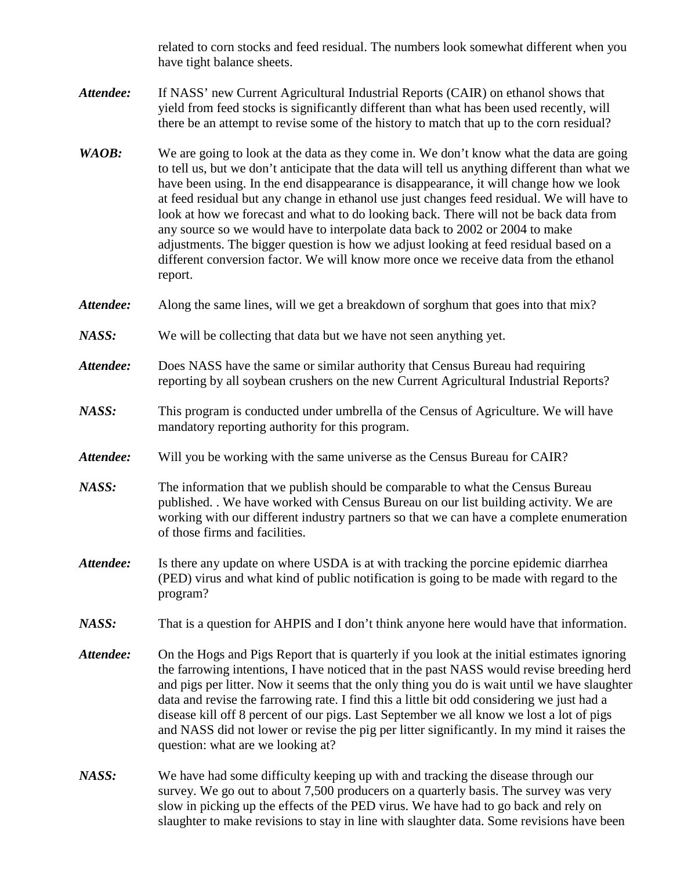related to corn stocks and feed residual. The numbers look somewhat different when you have tight balance sheets.

- Attendee: If NASS' new Current Agricultural Industrial Reports (CAIR) on ethanol shows that yield from feed stocks is significantly different than what has been used recently, will there be an attempt to revise some of the history to match that up to the corn residual?
- *WAOB*: We are going to look at the data as they come in. We don't know what the data are going to tell us, but we don't anticipate that the data will tell us anything different than what we have been using. In the end disappearance is disappearance, it will change how we look at feed residual but any change in ethanol use just changes feed residual. We will have to look at how we forecast and what to do looking back. There will not be back data from any source so we would have to interpolate data back to 2002 or 2004 to make adjustments. The bigger question is how we adjust looking at feed residual based on a different conversion factor. We will know more once we receive data from the ethanol report.
- Attendee: Along the same lines, will we get a breakdown of sorghum that goes into that mix?
- *NASS:* We will be collecting that data but we have not seen anything yet.
- *Attendee:* Does NASS have the same or similar authority that Census Bureau had requiring reporting by all soybean crushers on the new Current Agricultural Industrial Reports?
- *NASS:* This program is conducted under umbrella of the Census of Agriculture. We will have mandatory reporting authority for this program.
- *Attendee:* Will you be working with the same universe as the Census Bureau for CAIR?
- *NASS:* The information that we publish should be comparable to what the Census Bureau published. . We have worked with Census Bureau on our list building activity. We are working with our different industry partners so that we can have a complete enumeration of those firms and facilities.
- *Attendee:* Is there any update on where USDA is at with tracking the porcine epidemic diarrhea (PED) virus and what kind of public notification is going to be made with regard to the program?
- *NASS:* That is a question for AHPIS and I don't think anyone here would have that information.
- Attendee: On the Hogs and Pigs Report that is quarterly if you look at the initial estimates ignoring the farrowing intentions, I have noticed that in the past NASS would revise breeding herd and pigs per litter. Now it seems that the only thing you do is wait until we have slaughter data and revise the farrowing rate. I find this a little bit odd considering we just had a disease kill off 8 percent of our pigs. Last September we all know we lost a lot of pigs and NASS did not lower or revise the pig per litter significantly. In my mind it raises the question: what are we looking at?
- *NASS:* We have had some difficulty keeping up with and tracking the disease through our survey. We go out to about 7,500 producers on a quarterly basis. The survey was very slow in picking up the effects of the PED virus. We have had to go back and rely on slaughter to make revisions to stay in line with slaughter data. Some revisions have been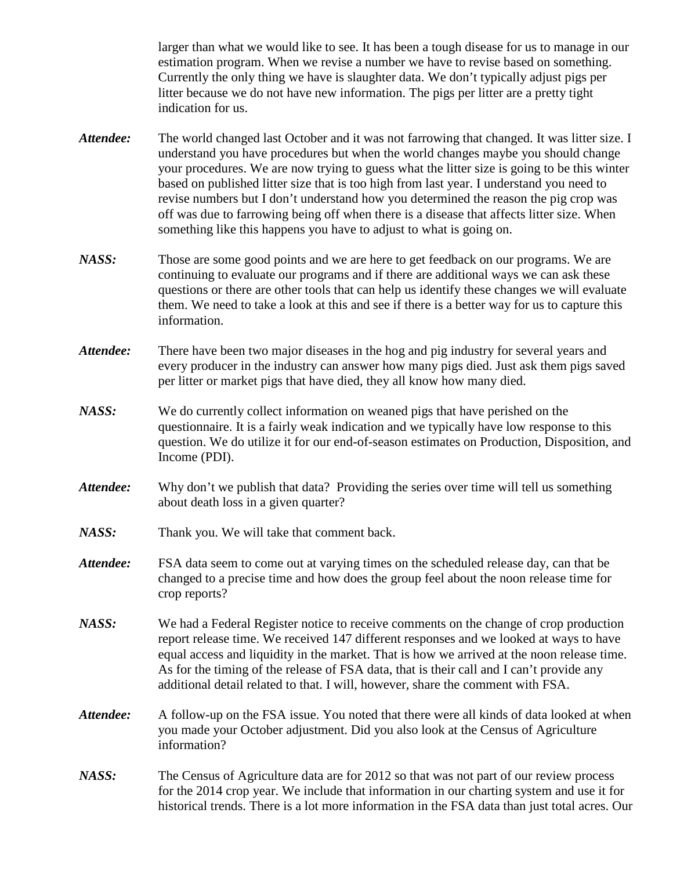larger than what we would like to see. It has been a tough disease for us to manage in our estimation program. When we revise a number we have to revise based on something. Currently the only thing we have is slaughter data. We don't typically adjust pigs per litter because we do not have new information. The pigs per litter are a pretty tight indication for us.

- *Attendee:* The world changed last October and it was not farrowing that changed. It was litter size. I understand you have procedures but when the world changes maybe you should change your procedures. We are now trying to guess what the litter size is going to be this winter based on published litter size that is too high from last year. I understand you need to revise numbers but I don't understand how you determined the reason the pig crop was off was due to farrowing being off when there is a disease that affects litter size. When something like this happens you have to adjust to what is going on.
- *NASS:* Those are some good points and we are here to get feedback on our programs. We are continuing to evaluate our programs and if there are additional ways we can ask these questions or there are other tools that can help us identify these changes we will evaluate them. We need to take a look at this and see if there is a better way for us to capture this information.
- Attendee: There have been two major diseases in the hog and pig industry for several years and every producer in the industry can answer how many pigs died. Just ask them pigs saved per litter or market pigs that have died, they all know how many died.
- *NASS:* We do currently collect information on weaned pigs that have perished on the questionnaire. It is a fairly weak indication and we typically have low response to this question. We do utilize it for our end-of-season estimates on Production, Disposition, and Income (PDI).
- Attendee: Why don't we publish that data? Providing the series over time will tell us something about death loss in a given quarter?
- *NASS:* Thank you. We will take that comment back.
- *Attendee:* FSA data seem to come out at varying times on the scheduled release day, can that be changed to a precise time and how does the group feel about the noon release time for crop reports?
- *NASS:* We had a Federal Register notice to receive comments on the change of crop production report release time. We received 147 different responses and we looked at ways to have equal access and liquidity in the market. That is how we arrived at the noon release time. As for the timing of the release of FSA data, that is their call and I can't provide any additional detail related to that. I will, however, share the comment with FSA.
- *Attendee:* A follow-up on the FSA issue. You noted that there were all kinds of data looked at when you made your October adjustment. Did you also look at the Census of Agriculture information?
- *NASS:* The Census of Agriculture data are for 2012 so that was not part of our review process for the 2014 crop year. We include that information in our charting system and use it for historical trends. There is a lot more information in the FSA data than just total acres. Our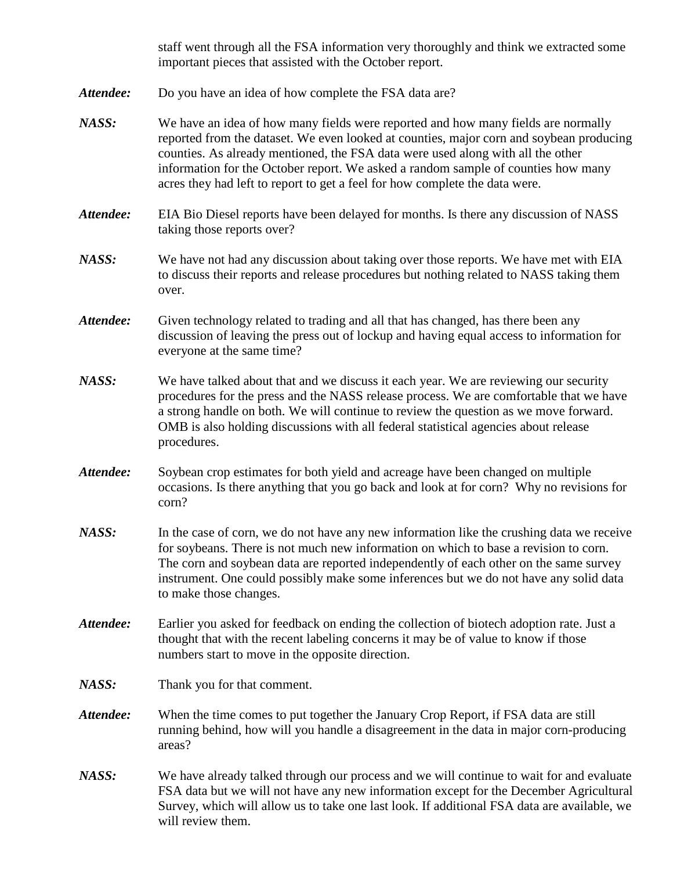staff went through all the FSA information very thoroughly and think we extracted some important pieces that assisted with the October report.

- *Attendee:* Do you have an idea of how complete the FSA data are?
- *NASS:* We have an idea of how many fields were reported and how many fields are normally reported from the dataset. We even looked at counties, major corn and soybean producing counties. As already mentioned, the FSA data were used along with all the other information for the October report. We asked a random sample of counties how many acres they had left to report to get a feel for how complete the data were.
- *Attendee:* EIA Bio Diesel reports have been delayed for months. Is there any discussion of NASS taking those reports over?
- *NASS:* We have not had any discussion about taking over those reports. We have met with EIA to discuss their reports and release procedures but nothing related to NASS taking them over.
- *Attendee:* Given technology related to trading and all that has changed, has there been any discussion of leaving the press out of lockup and having equal access to information for everyone at the same time?
- *NASS:* We have talked about that and we discuss it each year. We are reviewing our security procedures for the press and the NASS release process. We are comfortable that we have a strong handle on both. We will continue to review the question as we move forward. OMB is also holding discussions with all federal statistical agencies about release procedures.
- *Attendee:* Soybean crop estimates for both yield and acreage have been changed on multiple occasions. Is there anything that you go back and look at for corn? Why no revisions for corn?
- *NASS:* In the case of corn, we do not have any new information like the crushing data we receive for soybeans. There is not much new information on which to base a revision to corn. The corn and soybean data are reported independently of each other on the same survey instrument. One could possibly make some inferences but we do not have any solid data to make those changes.
- *Attendee:* Earlier you asked for feedback on ending the collection of biotech adoption rate. Just a thought that with the recent labeling concerns it may be of value to know if those numbers start to move in the opposite direction.
- *NASS:* Thank you for that comment.
- *Attendee:* When the time comes to put together the January Crop Report, if FSA data are still running behind, how will you handle a disagreement in the data in major corn-producing areas?
- *NASS:* We have already talked through our process and we will continue to wait for and evaluate FSA data but we will not have any new information except for the December Agricultural Survey, which will allow us to take one last look. If additional FSA data are available, we will review them.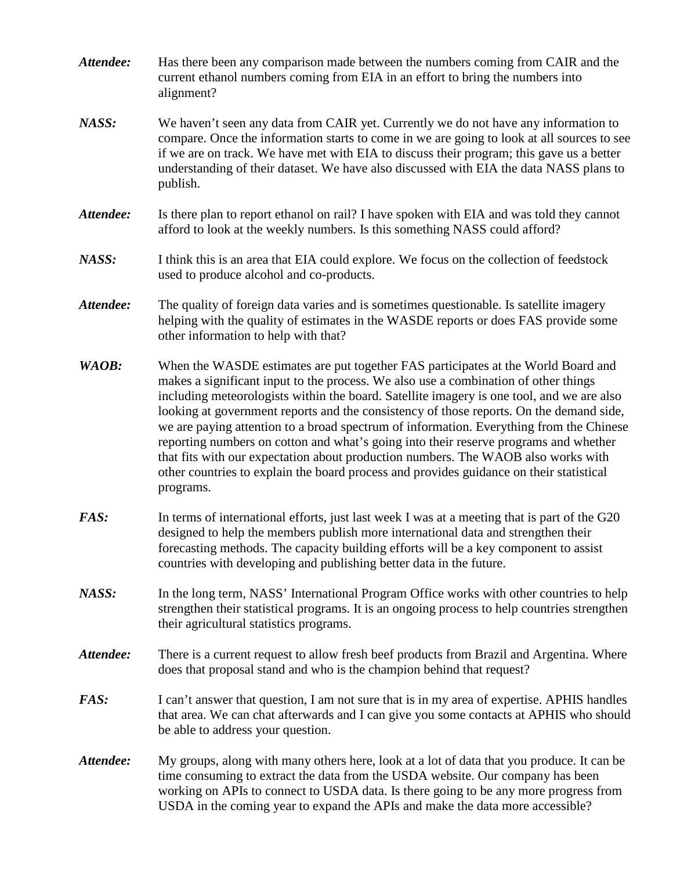- *Attendee:* Has there been any comparison made between the numbers coming from CAIR and the current ethanol numbers coming from EIA in an effort to bring the numbers into alignment?
- *NASS:* We haven't seen any data from CAIR yet. Currently we do not have any information to compare. Once the information starts to come in we are going to look at all sources to see if we are on track. We have met with EIA to discuss their program; this gave us a better understanding of their dataset. We have also discussed with EIA the data NASS plans to publish.
- *Attendee:* Is there plan to report ethanol on rail? I have spoken with EIA and was told they cannot afford to look at the weekly numbers. Is this something NASS could afford?
- *NASS:* I think this is an area that EIA could explore. We focus on the collection of feedstock used to produce alcohol and co-products.
- Attendee: The quality of foreign data varies and is sometimes questionable. Is satellite imagery helping with the quality of estimates in the WASDE reports or does FAS provide some other information to help with that?
- *WAOB:* When the WASDE estimates are put together FAS participates at the World Board and makes a significant input to the process. We also use a combination of other things including meteorologists within the board. Satellite imagery is one tool, and we are also looking at government reports and the consistency of those reports. On the demand side, we are paying attention to a broad spectrum of information. Everything from the Chinese reporting numbers on cotton and what's going into their reserve programs and whether that fits with our expectation about production numbers. The WAOB also works with other countries to explain the board process and provides guidance on their statistical programs.
- *FAS:* In terms of international efforts, just last week I was at a meeting that is part of the G20 designed to help the members publish more international data and strengthen their forecasting methods. The capacity building efforts will be a key component to assist countries with developing and publishing better data in the future.
- *NASS:* In the long term, NASS' International Program Office works with other countries to help strengthen their statistical programs. It is an ongoing process to help countries strengthen their agricultural statistics programs.
- *Attendee:* There is a current request to allow fresh beef products from Brazil and Argentina. Where does that proposal stand and who is the champion behind that request?
- *FAS:* I can't answer that question, I am not sure that is in my area of expertise. APHIS handles that area. We can chat afterwards and I can give you some contacts at APHIS who should be able to address your question.
- *Attendee:* My groups, along with many others here, look at a lot of data that you produce. It can be time consuming to extract the data from the USDA website. Our company has been working on APIs to connect to USDA data. Is there going to be any more progress from USDA in the coming year to expand the APIs and make the data more accessible?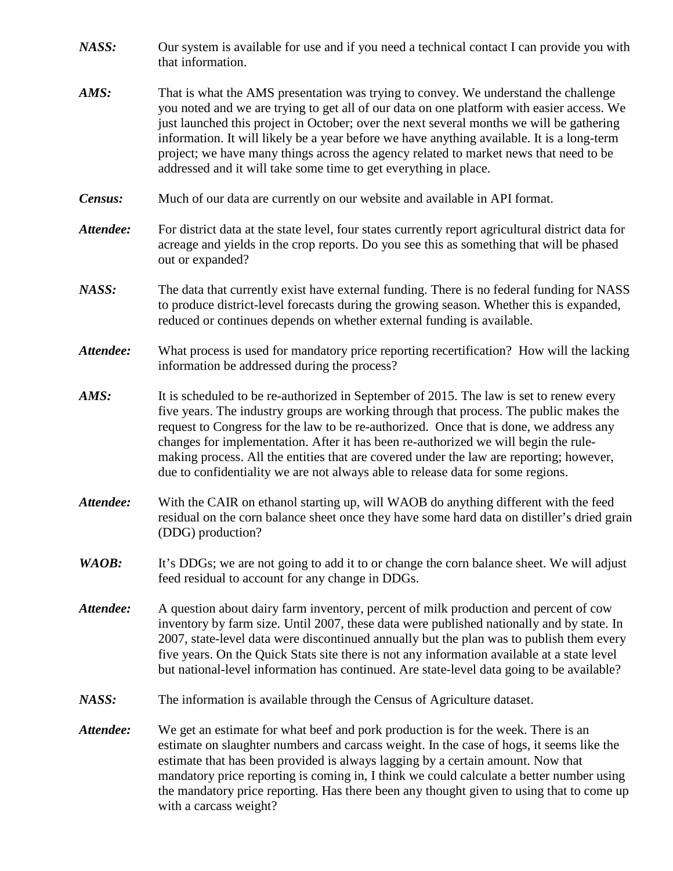- *NASS:* Our system is available for use and if you need a technical contact I can provide you with that information.
- *AMS:* That is what the AMS presentation was trying to convey. We understand the challenge you noted and we are trying to get all of our data on one platform with easier access. We just launched this project in October; over the next several months we will be gathering information. It will likely be a year before we have anything available. It is a long-term project; we have many things across the agency related to market news that need to be addressed and it will take some time to get everything in place.
- *Census:* Much of our data are currently on our website and available in API format.
- *Attendee:* For district data at the state level, four states currently report agricultural district data for acreage and yields in the crop reports. Do you see this as something that will be phased out or expanded?
- *NASS:* The data that currently exist have external funding. There is no federal funding for NASS to produce district-level forecasts during the growing season. Whether this is expanded, reduced or continues depends on whether external funding is available.
- *Attendee:* What process is used for mandatory price reporting recertification? How will the lacking information be addressed during the process?
- *AMS:* It is scheduled to be re-authorized in September of 2015. The law is set to renew every five years. The industry groups are working through that process. The public makes the request to Congress for the law to be re-authorized. Once that is done, we address any changes for implementation. After it has been re-authorized we will begin the rulemaking process. All the entities that are covered under the law are reporting; however, due to confidentiality we are not always able to release data for some regions.
- *Attendee:* With the CAIR on ethanol starting up, will WAOB do anything different with the feed residual on the corn balance sheet once they have some hard data on distiller's dried grain (DDG) production?
- *WAOB*: It's DDGs; we are not going to add it to or change the corn balance sheet. We will adjust feed residual to account for any change in DDGs.
- *Attendee:* A question about dairy farm inventory, percent of milk production and percent of cow inventory by farm size. Until 2007, these data were published nationally and by state. In 2007, state-level data were discontinued annually but the plan was to publish them every five years. On the Quick Stats site there is not any information available at a state level but national-level information has continued. Are state-level data going to be available?
- *NASS:* The information is available through the Census of Agriculture dataset.
- *Attendee:* We get an estimate for what beef and pork production is for the week. There is an estimate on slaughter numbers and carcass weight. In the case of hogs, it seems like the estimate that has been provided is always lagging by a certain amount. Now that mandatory price reporting is coming in, I think we could calculate a better number using the mandatory price reporting. Has there been any thought given to using that to come up with a carcass weight?